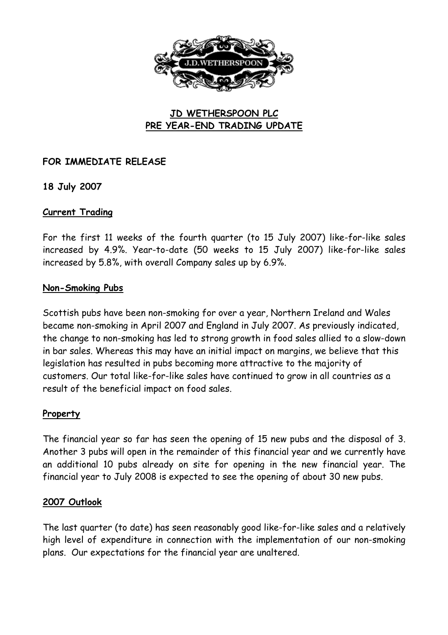

# **JD WETHERSPOON PLC PRE YEAR-END TRADING UPDATE**

## **FOR IMMEDIATE RELEASE**

**18 July 2007**

### **Current Trading**

For the first 11 weeks of the fourth quarter (to 15 July 2007) like-for-like sales increased by 4.9%. Year-to-date (50 weeks to 15 July 2007) like-for-like sales increased by 5.8%, with overall Company sales up by 6.9%.

### **Non-Smoking Pubs**

Scottish pubs have been non-smoking for over a year, Northern Ireland and Wales became non-smoking in April 2007 and England in July 2007. As previously indicated, the change to non-smoking has led to strong growth in food sales allied to a slow-down in bar sales. Whereas this may have an initial impact on margins, we believe that this legislation has resulted in pubs becoming more attractive to the majority of customers. Our total like-for-like sales have continued to grow in all countries as a result of the beneficial impact on food sales.

## **Property**

The financial year so far has seen the opening of 15 new pubs and the disposal of 3. Another 3 pubs will open in the remainder of this financial year and we currently have an additional 10 pubs already on site for opening in the new financial year. The financial year to July 2008 is expected to see the opening of about 30 new pubs.

## **2007 Outlook**

The last quarter (to date) has seen reasonably good like-for-like sales and a relatively high level of expenditure in connection with the implementation of our non-smoking plans. Our expectations for the financial year are unaltered.